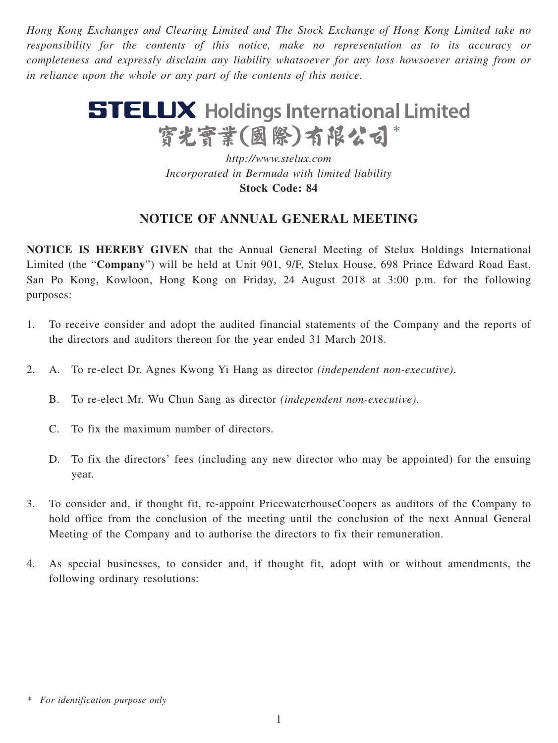*Hong Kong Exchanges and Clearing Limited and The Stock Exchange of Hong Kong Limited take no responsibility for the contents of this notice, make no representation as to its accuracy or completeness and expressly disclaim any liability whatsoever for any loss howsoever arising from or in reliance upon the whole or any part of the contents of this notice.*

# **STELUX** Holdings International Limited 寳光寳業(國際)有限公司\*

*http://www.stelux.com Incorporated in Bermuda with limited liability* **Stock Code: 84**

# **NOTICE OF ANNUAL GENERAL MEETING**

**NOTICE IS HEREBY GIVEN** that the Annual General Meeting of Stelux Holdings International Limited (the "**Company**") will be held at Unit 901, 9/F, Stelux House, 698 Prince Edward Road East, San Po Kong, Kowloon, Hong Kong on Friday, 24 August 2018 at 3:00 p.m. for the following purposes:

- 1. To receive consider and adopt the audited financial statements of the Company and the reports of the directors and auditors thereon for the year ended 31 March 2018.
- 2. A. To re-elect Dr. Agnes Kwong Yi Hang as director *(independent non-executive)*.
	- B. To re-elect Mr. Wu Chun Sang as director *(independent non-executive)*.
	- C. To fix the maximum number of directors.
	- D. To fix the directors' fees (including any new director who may be appointed) for the ensuing year.
- 3. To consider and, if thought fit, re-appoint PricewaterhouseCoopers as auditors of the Company to hold office from the conclusion of the meeting until the conclusion of the next Annual General Meeting of the Company and to authorise the directors to fix their remuneration.
- 4. As special businesses, to consider and, if thought fit, adopt with or without amendments, the following ordinary resolutions:

*<sup>\*</sup> For identification purpose only*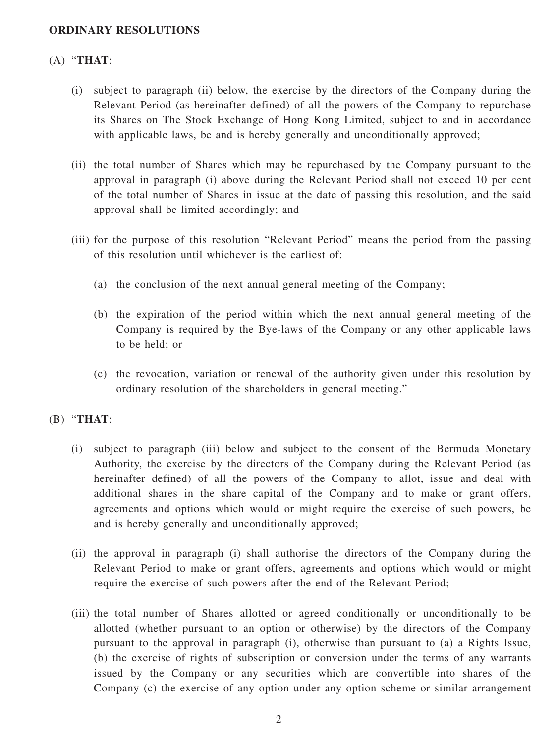### **ORDINARY RESOLUTIONS**

## (A) "**THAT**:

- (i) subject to paragraph (ii) below, the exercise by the directors of the Company during the Relevant Period (as hereinafter defined) of all the powers of the Company to repurchase its Shares on The Stock Exchange of Hong Kong Limited, subject to and in accordance with applicable laws, be and is hereby generally and unconditionally approved;
- (ii) the total number of Shares which may be repurchased by the Company pursuant to the approval in paragraph (i) above during the Relevant Period shall not exceed 10 per cent of the total number of Shares in issue at the date of passing this resolution, and the said approval shall be limited accordingly; and
- (iii) for the purpose of this resolution "Relevant Period" means the period from the passing of this resolution until whichever is the earliest of:
	- (a) the conclusion of the next annual general meeting of the Company;
	- (b) the expiration of the period within which the next annual general meeting of the Company is required by the Bye-laws of the Company or any other applicable laws to be held; or
	- (c) the revocation, variation or renewal of the authority given under this resolution by ordinary resolution of the shareholders in general meeting."

#### (B) "**THAT**:

- (i) subject to paragraph (iii) below and subject to the consent of the Bermuda Monetary Authority, the exercise by the directors of the Company during the Relevant Period (as hereinafter defined) of all the powers of the Company to allot, issue and deal with additional shares in the share capital of the Company and to make or grant offers, agreements and options which would or might require the exercise of such powers, be and is hereby generally and unconditionally approved;
- (ii) the approval in paragraph (i) shall authorise the directors of the Company during the Relevant Period to make or grant offers, agreements and options which would or might require the exercise of such powers after the end of the Relevant Period;
- (iii) the total number of Shares allotted or agreed conditionally or unconditionally to be allotted (whether pursuant to an option or otherwise) by the directors of the Company pursuant to the approval in paragraph (i), otherwise than pursuant to (a) a Rights Issue, (b) the exercise of rights of subscription or conversion under the terms of any warrants issued by the Company or any securities which are convertible into shares of the Company (c) the exercise of any option under any option scheme or similar arrangement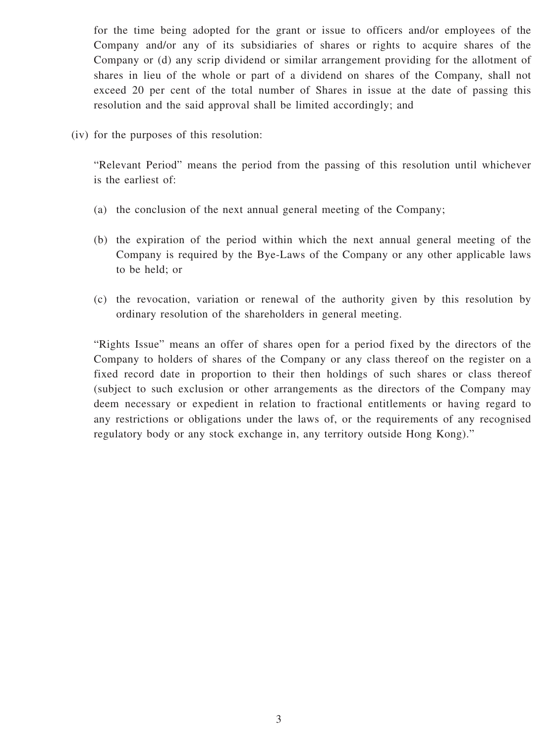for the time being adopted for the grant or issue to officers and/or employees of the Company and/or any of its subsidiaries of shares or rights to acquire shares of the Company or (d) any scrip dividend or similar arrangement providing for the allotment of shares in lieu of the whole or part of a dividend on shares of the Company, shall not exceed 20 per cent of the total number of Shares in issue at the date of passing this resolution and the said approval shall be limited accordingly; and

(iv) for the purposes of this resolution:

"Relevant Period" means the period from the passing of this resolution until whichever is the earliest of:

- (a) the conclusion of the next annual general meeting of the Company;
- (b) the expiration of the period within which the next annual general meeting of the Company is required by the Bye-Laws of the Company or any other applicable laws to be held; or
- (c) the revocation, variation or renewal of the authority given by this resolution by ordinary resolution of the shareholders in general meeting.

"Rights Issue" means an offer of shares open for a period fixed by the directors of the Company to holders of shares of the Company or any class thereof on the register on a fixed record date in proportion to their then holdings of such shares or class thereof (subject to such exclusion or other arrangements as the directors of the Company may deem necessary or expedient in relation to fractional entitlements or having regard to any restrictions or obligations under the laws of, or the requirements of any recognised regulatory body or any stock exchange in, any territory outside Hong Kong)."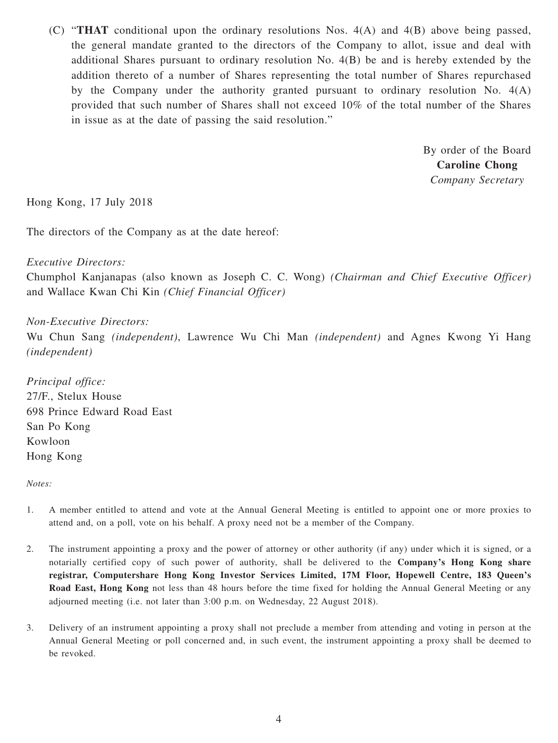(C) "**THAT** conditional upon the ordinary resolutions Nos. 4(A) and 4(B) above being passed, the general mandate granted to the directors of the Company to allot, issue and deal with additional Shares pursuant to ordinary resolution No. 4(B) be and is hereby extended by the addition thereto of a number of Shares representing the total number of Shares repurchased by the Company under the authority granted pursuant to ordinary resolution No. 4(A) provided that such number of Shares shall not exceed 10% of the total number of the Shares in issue as at the date of passing the said resolution."

> By order of the Board **Caroline Chong** *Company Secretary*

Hong Kong, 17 July 2018

The directors of the Company as at the date hereof:

#### *Executive Directors:*

Chumphol Kanjanapas (also known as Joseph C. C. Wong) *(Chairman and Chief Executive Officer)* and Wallace Kwan Chi Kin *(Chief Financial Officer)*

*Non-Executive Directors:*

Wu Chun Sang *(independent)*, Lawrence Wu Chi Man *(independent)* and Agnes Kwong Yi Hang *(independent)*

*Principal office:* 27/F., Stelux House 698 Prince Edward Road East San Po Kong Kowloon Hong Kong

*Notes:*

- 1. A member entitled to attend and vote at the Annual General Meeting is entitled to appoint one or more proxies to attend and, on a poll, vote on his behalf. A proxy need not be a member of the Company.
- 2. The instrument appointing a proxy and the power of attorney or other authority (if any) under which it is signed, or a notarially certified copy of such power of authority, shall be delivered to the **Company's Hong Kong share registrar, Computershare Hong Kong Investor Services Limited, 17M Floor, Hopewell Centre, 183 Queen's Road East, Hong Kong** not less than 48 hours before the time fixed for holding the Annual General Meeting or any adjourned meeting (i.e. not later than 3:00 p.m. on Wednesday, 22 August 2018).
- 3. Delivery of an instrument appointing a proxy shall not preclude a member from attending and voting in person at the Annual General Meeting or poll concerned and, in such event, the instrument appointing a proxy shall be deemed to be revoked.